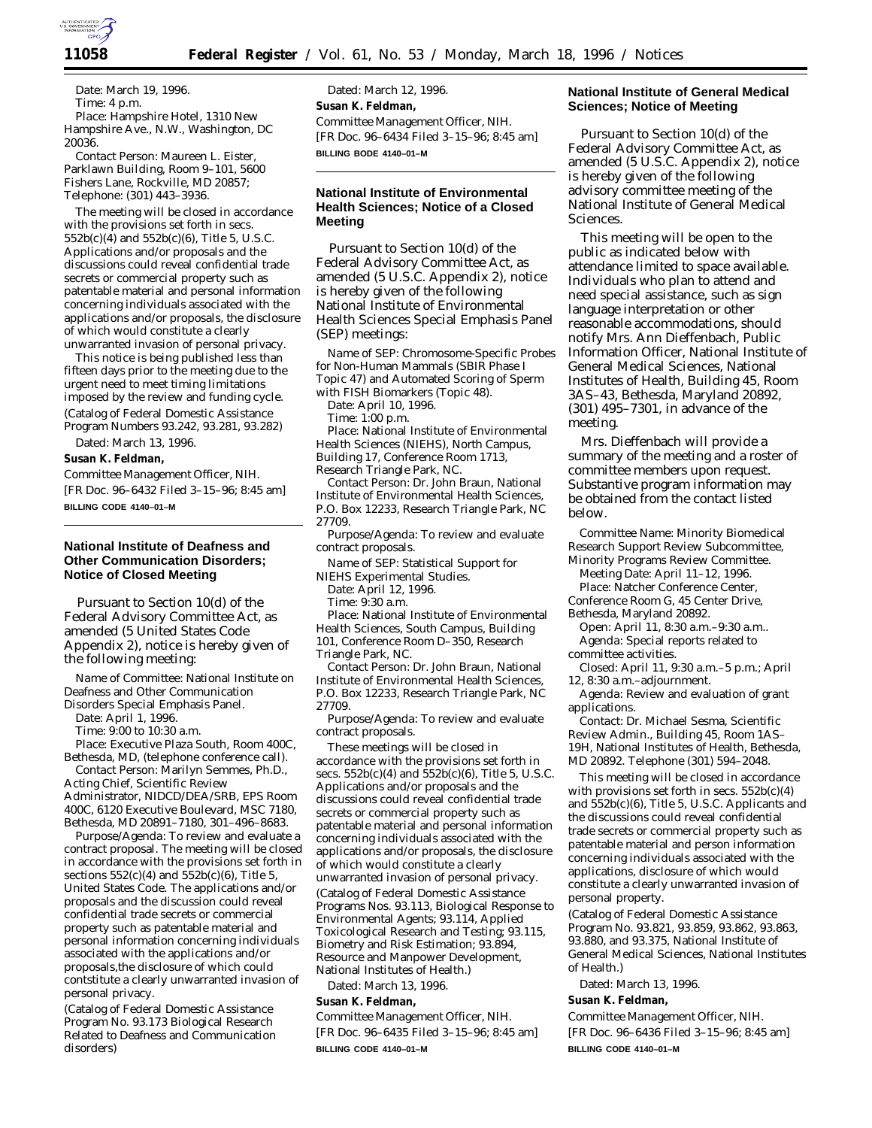

*Date:* March 19, 1996. *Time:* 4 p.m. *Place:* Hampshire Hotel, 1310 New Hampshire Ave., N.W., Washington, DC 20036.

*Contact Person:* Maureen L. Eister, Parklawn Building, Room 9–101, 5600 Fishers Lane, Rockville, MD 20857; Telephone: (301) 443–3936.

The meeting will be closed in accordance with the provisions set forth in secs. 552b(c)(4) and 552b(c)(6), Title 5, U.S.C. Applications and/or proposals and the discussions could reveal confidential trade secrets or commercial property such as patentable material and personal information concerning individuals associated with the applications and/or proposals, the disclosure of which would constitute a clearly unwarranted invasion of personal privacy.

This notice is being published less than fifteen days prior to the meeting due to the urgent need to meet timing limitations imposed by the review and funding cycle. (Catalog of Federal Domestic Assistance Program Numbers 93.242, 93.281, 93.282)

Dated: March 13, 1996.

**Susan K. Feldman,**

*Committee Management Officer, NIH.* [FR Doc. 96–6432 Filed 3–15–96; 8:45 am] **BILLING CODE 4140–01–M**

# **National Institute of Deafness and Other Communication Disorders; Notice of Closed Meeting**

Pursuant to Section 10(d) of the Federal Advisory Committee Act, as amended (5 United States Code Appendix 2), notice is hereby given of the following meeting:

*Name of Committee:* National Institute on Deafness and Other Communication

Disorders Special Emphasis Panel.

*Date:* April 1, 1996.

*Time:* 9:00 to 10:30 a.m.

*Place:* Executive Plaza South, Room 400C, Bethesda, MD, (telephone conference call). *Contact Person:* Marilyn Semmes, Ph.D.,

Acting Chief, Scientific Review Administrator, NIDCD/DEA/SRB, EPS Room 400C, 6120 Executive Boulevard, MSC 7180, Bethesda, MD 20891–7180, 301–496–8683.

*Purpose/Agenda:* To review and evaluate a contract proposal. The meeting will be closed in accordance with the provisions set forth in sections  $552(c)(4)$  and  $552b(c)(6)$ , Title 5, United States Code. The applications and/or proposals and the discussion could reveal confidential trade secrets or commercial property such as patentable material and personal information concerning individuals associated with the applications and/or proposals,the disclosure of which could contstitute a clearly unwarranted invasion of personal privacy.

(Catalog of Federal Domestic Assistance Program No. 93.173 Biological Research Related to Deafness and Communication disorders)

Dated: March 12, 1996. **Susan K. Feldman,** *Committee Management Officer, NIH.* [FR Doc. 96–6434 Filed 3–15–96; 8:45 am] **BILLING BODE 4140–01–M**

# **National Institute of Environmental Health Sciences; Notice of a Closed Meeting**

Pursuant to Section 10(d) of the Federal Advisory Committee Act, as amended (5 U.S.C. Appendix 2), notice is hereby given of the following National Institute of Environmental Health Sciences Special Emphasis Panel (SEP) meetings:

*Name of SEP:* Chromosome-Specific Probes for Non-Human Mammals (SBIR Phase I Topic 47) and Automated Scoring of Sperm

with FISH Biomarkers (Topic 48). *Date:* April 10, 1996.

*Time:* 1:00 p.m.

*Place:* National Institute of Environmental Health Sciences (NIEHS), North Campus, Building 17, Conference Room 1713, Research Triangle Park, NC.

*Contact Person:* Dr. John Braun, National Institute of Environmental Health Sciences, P.O. Box 12233, Research Triangle Park, NC 27709.

*Purpose/Agenda:* To review and evaluate contract proposals.

*Name of SEP:* Statistical Support for NIEHS Experimental Studies.

*Date:* April 12, 1996.

*Time:* 9:30 a.m.

*Place:* National Institute of Environmental Health Sciences, South Campus, Building 101, Conference Room D–350, Research Triangle Park, NC.

*Contact Person:* Dr. John Braun, National Institute of Environmental Health Sciences, P.O. Box 12233, Research Triangle Park, NC 27709.

*Purpose/Agenda:* To review and evaluate contract proposals.

These meetings will be closed in accordance with the provisions set forth in secs.  $552b(c)(4)$  and  $552b(c)(6)$ , Title 5, U.S.C. Applications and/or proposals and the discussions could reveal confidential trade secrets or commercial property such as patentable material and personal information concerning individuals associated with the applications and/or proposals, the disclosure of which would constitute a clearly unwarranted invasion of personal privacy. (Catalog of Federal Domestic Assistance Programs Nos. 93.113, Biological Response to Environmental Agents; 93.114, Applied Toxicological Research and Testing; 93.115, Biometry and Risk Estimation; 93.894, Resource and Manpower Development, National Institutes of Health.)

Dated: March 13, 1996.

**Susan K. Feldman,**

*Committee Management Officer, NIH.*

[FR Doc. 96–6435 Filed 3–15–96; 8:45 am] **BILLING CODE 4140–01–M**

### **National Institute of General Medical Sciences; Notice of Meeting**

Pursuant to Section 10(d) of the Federal Advisory Committee Act, as amended (5 U.S.C. Appendix 2), notice is hereby given of the following advisory committee meeting of the National Institute of General Medical Sciences.

This meeting will be open to the public as indicated below with attendance limited to space available. Individuals who plan to attend and need special assistance, such as sign language interpretation or other reasonable accommodations, should notify Mrs. Ann Dieffenbach, Public Information Officer, National Institute of General Medical Sciences, National Institutes of Health, Building 45, Room 3AS–43, Bethesda, Maryland 20892, (301) 495–7301, in advance of the meeting.

Mrs. Dieffenbach will provide a summary of the meeting and a roster of committee members upon request. Substantive program information may be obtained from the contact listed below.

*Committee Name:* Minority Biomedical Research Support Review Subcommittee, Minority Programs Review Committee.

*Meeting Date:* April 11–12, 1996. *Place:* Natcher Conference Center,

Conference Room G, 45 Center Drive,

Bethesda, Maryland 20892.

*Open:* April 11, 8:30 a.m.–9:30 a.m.. *Agenda:* Special reports related to committee activities.

*Closed:* April 11, 9:30 a.m.–5 p.m.; April 12, 8:30 a.m.–adjournment.

*Agenda:* Review and evaluation of grant applications.

*Contact:* Dr. Michael Sesma, Scientific Review Admin., Building 45, Room 1AS– 19H, National Institutes of Health, Bethesda, MD 20892. Telephone (301) 594–2048.

This meeting will be closed in accordance with provisions set forth in secs. 552b(c)(4) and 552b(c)(6), Title 5, U.S.C. Applicants and the discussions could reveal confidential trade secrets or commercial property such as patentable material and person information concerning individuals associated with the applications, disclosure of which would constitute a clearly unwarranted invasion of personal property.

(Catalog of Federal Domestic Assistance Program No. 93.821, 93.859, 93.862, 93.863, 93.880, and 93.375, National Institute of General Medical Sciences, National Institutes of Health.)

Dated: March 13, 1996.

**Susan K. Feldman,**

*Committee Management Officer, NIH.*

[FR Doc. 96–6436 Filed 3–15–96; 8:45 am] **BILLING CODE 4140–01–M**